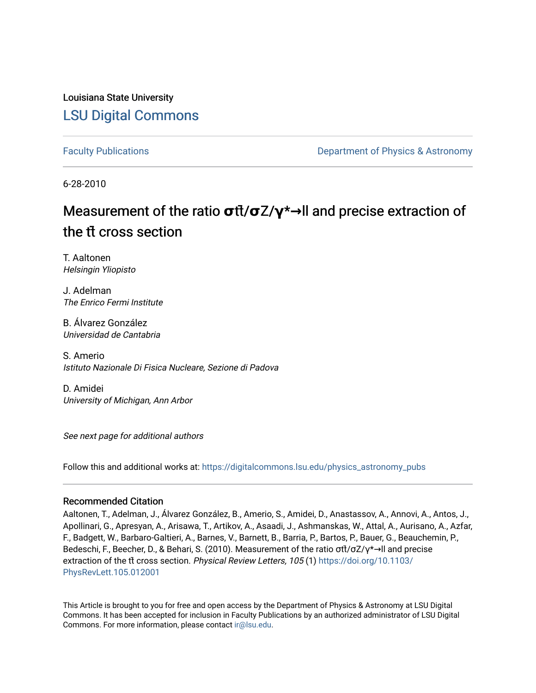Louisiana State University [LSU Digital Commons](https://digitalcommons.lsu.edu/)

[Faculty Publications](https://digitalcommons.lsu.edu/physics_astronomy_pubs) **Example 2** Constant Department of Physics & Astronomy

6-28-2010

## Measurement of the ratio **σ**tt<sup>*i*</sup>/**σ**Z/**γ**<sup>\*→</sup>**ll** and precise extraction of the tt**̄** cross section

T. Aaltonen Helsingin Yliopisto

J. Adelman The Enrico Fermi Institute

B. Álvarez González Universidad de Cantabria

S. Amerio Istituto Nazionale Di Fisica Nucleare, Sezione di Padova

D. Amidei University of Michigan, Ann Arbor

See next page for additional authors

Follow this and additional works at: [https://digitalcommons.lsu.edu/physics\\_astronomy\\_pubs](https://digitalcommons.lsu.edu/physics_astronomy_pubs?utm_source=digitalcommons.lsu.edu%2Fphysics_astronomy_pubs%2F2400&utm_medium=PDF&utm_campaign=PDFCoverPages) 

## Recommended Citation

Aaltonen, T., Adelman, J., Álvarez González, B., Amerio, S., Amidei, D., Anastassov, A., Annovi, A., Antos, J., Apollinari, G., Apresyan, A., Arisawa, T., Artikov, A., Asaadi, J., Ashmanskas, W., Attal, A., Aurisano, A., Azfar, F., Badgett, W., Barbaro-Galtieri, A., Barnes, V., Barnett, B., Barria, P., Bartos, P., Bauer, G., Beauchemin, P., Bedeschi, F., Beecher, D., & Behari, S. (2010). Measurement of the ratio σtt̄/σZ/γ\*→ll and precise extraction of the tt cross section. Physical Review Letters, 105 (1) [https://doi.org/10.1103/](https://doi.org/10.1103/PhysRevLett.105.012001) [PhysRevLett.105.012001](https://doi.org/10.1103/PhysRevLett.105.012001) 

This Article is brought to you for free and open access by the Department of Physics & Astronomy at LSU Digital Commons. It has been accepted for inclusion in Faculty Publications by an authorized administrator of LSU Digital Commons. For more information, please contact [ir@lsu.edu](mailto:ir@lsu.edu).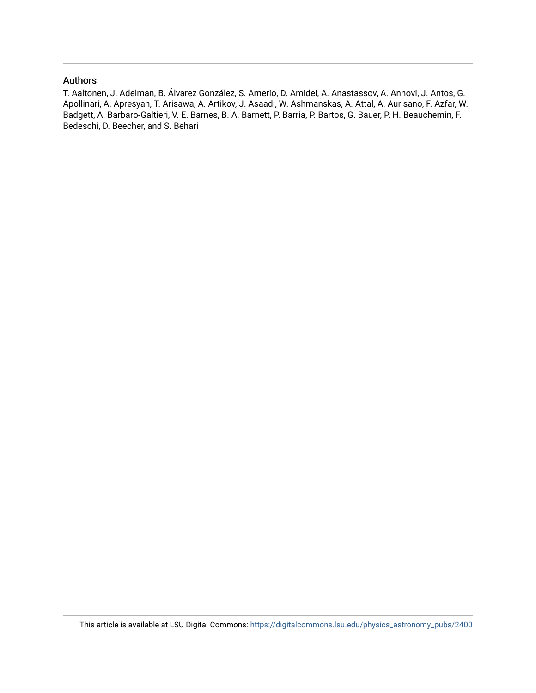## Authors

T. Aaltonen, J. Adelman, B. Álvarez González, S. Amerio, D. Amidei, A. Anastassov, A. Annovi, J. Antos, G. Apollinari, A. Apresyan, T. Arisawa, A. Artikov, J. Asaadi, W. Ashmanskas, A. Attal, A. Aurisano, F. Azfar, W. Badgett, A. Barbaro-Galtieri, V. E. Barnes, B. A. Barnett, P. Barria, P. Bartos, G. Bauer, P. H. Beauchemin, F. Bedeschi, D. Beecher, and S. Behari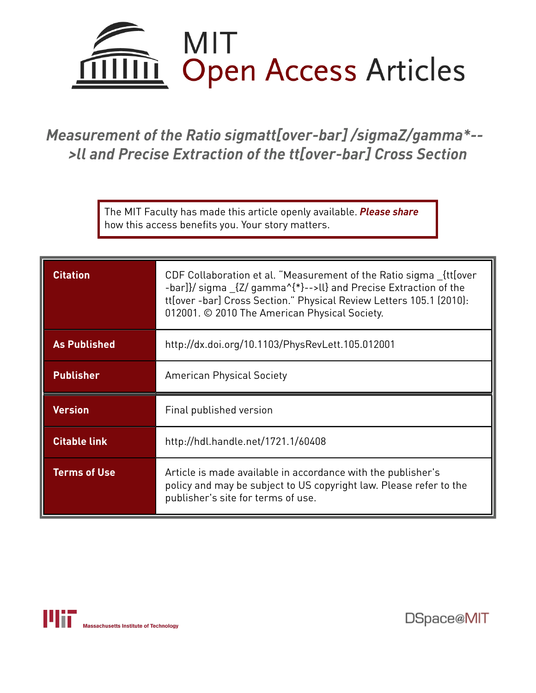

*Measurement of the Ratio sigmatt[over-bar] /sigmaZ/gamma\*-- >ll and Precise Extraction of the tt[over-bar] Cross Section*

> The MIT Faculty has made this article openly available. *[Please](https://libraries.mit.edu/forms/dspace-oa-articles.html) share* how this access benefits you. Your story matters.

| <b>Citation</b>     | CDF Collaboration et al. "Measurement of the Ratio sigma {tt[over<br>-bar]}/ sigma _{Z/ gamma^{*}-->ll} and Precise Extraction of the<br>tt[over-bar] Cross Section." Physical Review Letters 105.1 (2010):<br>012001. © 2010 The American Physical Society. |  |  |  |
|---------------------|--------------------------------------------------------------------------------------------------------------------------------------------------------------------------------------------------------------------------------------------------------------|--|--|--|
| <b>As Published</b> | http://dx.doi.org/10.1103/PhysRevLett.105.012001                                                                                                                                                                                                             |  |  |  |
| <b>Publisher</b>    | <b>American Physical Society</b>                                                                                                                                                                                                                             |  |  |  |
| <b>Version</b>      | Final published version                                                                                                                                                                                                                                      |  |  |  |
| <b>Citable link</b> | http://hdl.handle.net/1721.1/60408                                                                                                                                                                                                                           |  |  |  |
|                     |                                                                                                                                                                                                                                                              |  |  |  |

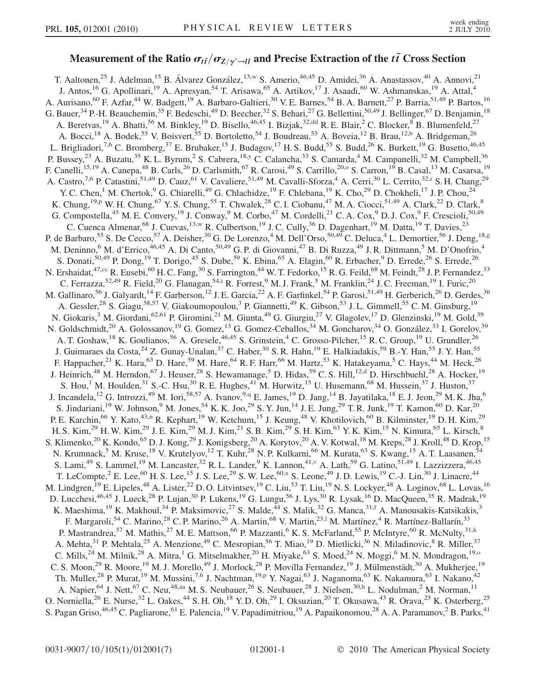## Measurement of the Ratio  $\sigma_{t\bar{t}}/\sigma_{Z/\gamma^*\to ll}$  and Precise Extraction of the  $t\bar{t}$  Cross Section

<span id="page-3-18"></span><span id="page-3-17"></span><span id="page-3-16"></span><span id="page-3-15"></span><span id="page-3-14"></span><span id="page-3-13"></span><span id="page-3-12"></span><span id="page-3-11"></span><span id="page-3-10"></span><span id="page-3-9"></span><span id="page-3-8"></span><span id="page-3-7"></span><span id="page-3-6"></span><span id="page-3-5"></span><span id="page-3-4"></span><span id="page-3-3"></span><span id="page-3-2"></span><span id="page-3-1"></span><span id="page-3-0"></span>T. Aaltonen,<sup>25</sup> J. Adelman,<sup>15</sup> B. Álvarez González,<sup>13,[w](#page-9-0)</sup> S. Amerio,<sup>46,45</sup> D. Amidei,<sup>36</sup> A. Anastassov,<sup>40</sup> A. Annovi,<sup>21</sup> J. Antos,<sup>16</sup> G. Apollinari,<sup>19</sup> A. Apresyan,<sup>54</sup> T. Arisawa,<sup>65</sup> A. Artikov,<sup>17</sup> J. Asaadi,<sup>60</sup> W. Ashmanskas,<sup>19</sup> A. Attal,<sup>4</sup> A. Aurisano,<sup>60</sup> F. Azfar,<sup>44</sup> W. Badgett,<sup>19</sup> A. Barbaro-Galtieri,<sup>30</sup> V. E. Barnes,<sup>54</sup> B. A. Barnett,<sup>27</sup> P. Barria,<sup>51,49</sup> P. Bartos,<sup>16</sup> G. Bauer,  $34$  P.-H. Beauchemin,  $35$  F. Bedeschi,  $49$  D. Beecher,  $32$  S. Behari,  $27$  G. Bellettini,  $50,49$  J. Bellinger,  $67$  D. Benjamin,  $18$ A. Beretvas,<sup>19</sup> A. Bhatti,<sup>56</sup> M. Binkley,<sup>19</sup> D. Bisello,<sup>46,45</sup> I. Bizjak,<sup>32,[dd](#page-9-1)</sup> R. E. Blair,<sup>2</sup> C. Blocker,<sup>8</sup> B. Blumenfeld,<sup>27</sup> A. Bocci,<sup>18</sup> A. Bodek,<sup>55</sup> V. Boisvert,<sup>55</sup> D. Bortoletto,<sup>54</sup> J. Boudreau,<sup>53</sup> A. Boveia,<sup>12</sup> B. Brau,<sup>12,[b](#page-9-2)</sup> A. Bridgeman,<sup>26</sup> L. Brigliadori,<sup>7,6</sup> C. Bromberg,<sup>37</sup> E. Brubaker,<sup>15</sup> J. Budagov,<sup>17</sup> H. S. Budd,<sup>55</sup> S. Budd,<sup>26</sup> K. Burkett,<sup>19</sup> G. Busetto,<sup>46,45</sup> P. Busse[y](#page-9-3),<sup>23</sup> A. Buzatu,<sup>35</sup> K. L. Byrum,<sup>2</sup> S. Cabrera,<sup>18,y</sup> C. Calancha,<sup>33</sup> S. Camarda,<sup>4</sup> M. Campanelli,<sup>32</sup> M. Campbell,<sup>36</sup> F. Canelli,<sup>15,19</sup> A. Canepa,<sup>48</sup> B. Carls,<sup>26</sup> D. Carlsmith,<sup>67</sup> R. Car[o](#page-9-4)si,<sup>49</sup> S. Carrillo,<sup>20,0</sup> S. Carron,<sup>19</sup> B. Casal,<sup>13</sup> M. Casarsa,<sup>19</sup> A. Cast[r](#page-9-5)o,<sup>7,6</sup> P. Catastini,<sup>51,49</sup> D. Cauz,<sup>61</sup> V. Cavaliere,<sup>51,49</sup> M. Cavalli-Sforza,<sup>4</sup> A. Cerri,<sup>30</sup> L. Cerrito,<sup>32,r</sup> S. H. Chang,<sup>29</sup> Y. C. Chen,<sup>1</sup> M. Chertok,<sup>9</sup> G. Chiarelli,<sup>49</sup> G. Chlachidze,<sup>19</sup> F. Chlebana,<sup>19</sup> K. Cho,<sup>29</sup> D. Chokheli,<sup>17</sup> J. P. Chou,<sup>24</sup> K. Chung,<su[p](#page-9-6)>19,p</sup> W. H. Chung,<sup>67</sup> Y. S. Chung,<sup>55</sup> T. Chwalek,<sup>28</sup> C. I. Ciobanu,<sup>47</sup> M. A. Ciocci,<sup>51,49</sup> A. Clark,<sup>22</sup> D. Clark,<sup>8</sup> G. Compostella,<sup>45</sup> M. E. Convery,<sup>19</sup> J. Conway,<sup>9</sup> M. Corbo,<sup>47</sup> M. Cordelli,<sup>21</sup> C. A. Cox,<sup>9</sup> D. J. Cox,<sup>9</sup> F. Crescioli,<sup>50,49</sup> C. Cuenca Almenar,<sup>68</sup> J. Cuevas,<sup>13,[w](#page-9-0)</sup> R. Culbertson,<sup>19</sup> J. C. Cully,<sup>36</sup> D. Dagenhart,<sup>19</sup> M. Datta,<sup>19</sup> T. Davies,<sup>23</sup> P. de Barbaro,<sup>55</sup> S. De Cecco,<sup>57</sup> A. Deisher,<sup>30</sup> G. De Lorenzo,<sup>4</sup> M. Dell'Orso,<sup>50,49</sup> C. Deluca,<sup>4</sup> L. Demortier,<sup>56</sup> J. Deng,<sup>18[,g](#page-9-7)</sup> M. Deninno,<sup>6</sup> M. d'Errico,<sup>46,45</sup> A. Di Canto,<sup>50,49</sup> G. P. di Giovanni,<sup>47</sup> B. Di Ruzza,<sup>49</sup> J. R. Dittmann,<sup>5</sup> M. D'Onofrio,<sup>4</sup> S. Donati,<sup>50,49</sup> P. Dong,<sup>19</sup> T. Dorigo,<sup>45</sup> S. Dube,<sup>59</sup> K. Ebina,<sup>65</sup> A. Elagin,<sup>60</sup> R. Erbacher,<sup>9</sup> D. Errede,<sup>26</sup> S. Errede,<sup>26</sup> N. Ershaidat,<sup>47,[cc](#page-9-8)</sup> R. Eusebi,<sup>60</sup> H. C. Fang,<sup>30</sup> S. Farrington,<sup>44</sup> W. T. Fedorko,<sup>15</sup> R. G. Feild,<sup>68</sup> M. Feindt,<sup>28</sup> J. P. Fernandez,<sup>33</sup> C. Ferrazza,  $52,49$  R. Field,  $20$  G. Flanagan,  $54,1$  R. Forrest,  $9$  M. J. Frank,  $5$  M. Franklin,  $24$  J. C. Freeman,  $19$  I. Furic,  $20$ M. Gallinaro,<sup>56</sup> J. Galyardt,<sup>14</sup> F. Garberson,<sup>12</sup> J. E. Garcia,<sup>22</sup> A. F. Garfinkel,<sup>54</sup> P. Garosi,<sup>51,49</sup> H. Gerberich,<sup>26</sup> D. Gerdes,<sup>36</sup> Gallinaro, J. Garyarut, F. Garocison, J. L. Garoci, T. Carrier, T. Carrier, T. Carrier, T. Gimmell, 55 C. M. Ginsburg, <sup>19</sup>, A. Gessler, <sup>28</sup> S. Giagu, <sup>58,57</sup> V. Giakoumopoulou,<sup>3</sup> P. Giannetti, <sup>49</sup> K. Gibson, <sup>53</sup> J. L N. Giokaris,<sup>3</sup> M. Giordani,<sup>62,61</sup> P. Giromini,<sup>21</sup> M. Giunta,<sup>49</sup> G. Giurgiu,<sup>27</sup> V. Glagolev,<sup>17</sup> D. Glenzinski,<sup>19</sup> M. Gold,<sup>39</sup> N. Goldschmidt,<sup>20</sup> A. Golossanov,<sup>19</sup> G. Gomez,<sup>13</sup> G. Gomez-Ceballos,<sup>34</sup> M. Goncharov,<sup>34</sup> O. González,<sup>33</sup> I. Gorelov,<sup>39</sup> A. T. Goshaw, <sup>18</sup> K. Goulianos, <sup>56</sup> A. Gresele, <sup>46,45</sup> S. Grinstein, <sup>4</sup> C. Grosso-Pilcher, <sup>15</sup> R. C. Group, <sup>19</sup> U. Grundler, <sup>26</sup> J. Guimaraes da Costa, <sup>24</sup> Z. Gunay-Unalan, <sup>37</sup> C. Haber, <sup>30</sup> S. R. Hahn, <sup>19</sup> E. Halkiadakis, <sup>59</sup> B.-Y. Han, <sup>55</sup> J. Y. Han, <sup>55</sup> F. Happacher, $^{21}$  K. Hara, $^{63}$  D. Hare, $^{59}$  M. Hare, $^{64}$  R. F. Harr, $^{66}$  M. Hartz, $^{53}$  K. Hatakeyama, $^5$  C. Hays, $^{44}$  M. Heck, $^{28}$ J. Heinrich,<sup>48</sup> M. Herndon,<sup>67</sup> J. Heuser,<sup>28</sup> S. Hewamanage,<sup>5</sup> D. Hidas,<sup>59</sup> C. S. Hill,<sup>12[,d](#page-9-10)</sup> D. Hirschbuehl,<sup>28</sup> A. Hocker,<sup>19</sup> S. Hou,<sup>1</sup> M. Houlden,<sup>31</sup> S.-C. Hsu,<sup>30</sup> R. E. Hughes,<sup>41</sup> M. Hurwitz,<sup>15</sup> U. Husemann,<sup>68</sup> M. Hussein,<sup>37</sup> J. Huston,<sup>37</sup> J. Incandela,<sup>12</sup> G. Introzzi,<sup>49</sup> M. Iori,<sup>58,57</sup> A. Ivanov,<sup>9,[q](#page-9-11)</sup> E. James,<sup>19</sup> D. Jang,<sup>14</sup> B. Jayatilaka,<sup>18</sup> E. J. Jeon,<sup>29</sup> M. K. Jha,<sup>6</sup> S. Jindariani,<sup>19</sup> W. Johnson,<sup>9</sup> M. Jones,<sup>54</sup> K. K. Joo,<sup>29</sup> S. Y. Jun,<sup>14</sup> J. E. Jung,<sup>29</sup> T. R. Junk,<sup>19</sup> T. Kamon,<sup>60</sup> D. Kar,<sup>20</sup> P. E. Karchi[n](#page-9-12),<sup>66</sup> Y. Kato,<sup>43,n</sup> R. Kephart,<sup>19</sup> W. Ketchum,<sup>15</sup> J. Keung,<sup>48</sup> V. Khotilovich,<sup>60</sup> B. Kilminster,<sup>19</sup> D. H. Kim,<sup>29</sup> H. S. Kim,<sup>29</sup> H. W. Kim,<sup>29</sup> J. E. Kim,<sup>29</sup> M. J. Kim,<sup>21</sup> S. B. Kim,<sup>29</sup> S. H. Kim,<sup>63</sup> Y. K. Kim,<sup>15</sup> N. Kimura,<sup>65</sup> L. Kirsch,<sup>8</sup> S. Klimenko,<sup>20</sup> K. Kondo,<sup>65</sup> D. J. Kong,<sup>29</sup> J. Konigsberg,<sup>20</sup> A. Korytov,<sup>20</sup> A. V. Kotwal,<sup>18</sup> M. Kreps,<sup>28</sup> J. Kroll,<sup>48</sup> D. Krop,<sup>15</sup> N. Krumnack,<sup>5</sup> M. Kruse,<sup>18</sup> V. Krutelyov,<sup>12</sup> T. Kuhr,<sup>28</sup> N. P. Kulkarni,<sup>66</sup> M. Kurata,<sup>63</sup> S. Kwang,<sup>15</sup> A. T. Laasanen,<sup>54</sup> S. Lami,<sup>49</sup> S. Lammel,<sup>19</sup> M. Lancaster,<sup>32</sup> R. L. Lander,<sup>9</sup> K. Lannon,<sup>41[,v](#page-9-13)</sup> A. Lath,<sup>59</sup> G. Latino,<sup>51,49</sup> I. Lazzizzera,<sup>46,45</sup> T. LeCompte, <sup>2</sup> E. Lee,<sup>60</sup> H. S. Lee,<sup>15</sup> J. S. Lee,<sup>29</sup> S. W. Lee,<sup>60,[x](#page-9-14)</sup> S. Leone,<sup>49</sup> J. D. Lewis,<sup>19</sup> C.-J. Lin,<sup>30</sup> J. Linacre,<sup>44</sup> M. Lindgren,<sup>19</sup> E. Lipeles,<sup>48</sup> A. Lister,<sup>22</sup> D. O. Litvintsev,<sup>19</sup> C. Liu,<sup>53</sup> T. Liu,<sup>19</sup> N. S. Lockyer,<sup>48</sup> A. Loginov,<sup>68</sup> L. Lovas,<sup>16</sup> D. Lucchesi,<sup>46,45</sup> J. Lueck,<sup>28</sup> P. Lujan,<sup>30</sup> P. Lukens,<sup>19</sup> G. Lungu,<sup>56</sup> J. Lys,<sup>30</sup> R. Lysak,<sup>16</sup> D. MacQueen,<sup>35</sup> R. Madrak,<sup>19</sup> K. Maeshima,<sup>19</sup> K. Makhoul,<sup>34</sup> P. Maksimovic,<sup>27</sup> S. Malde,<sup>44</sup> S. Malik,<sup>32</sup> G. Manca,<sup>31[,f](#page-9-15)</sup> A. Manousakis-Katsikakis,<sup>3</sup> F. Margaroli,<sup>54</sup> C. Marino,<sup>28</sup> C. P. Marino,<sup>26</sup> A. Martin,<sup>68</sup> V. Martin,<sup>23,1</sup> M. Martínez,<sup>4</sup> R. Martínez-Ballarín,<sup>33</sup> P. Mastrandrea,<sup>57</sup> M. Mathis,<sup>27</sup> M. E. Mattson,<sup>66</sup> P. Mazzanti,<sup>6</sup> K. S. McFarland,<sup>55</sup> P. McIntyre,<sup>60</sup> R. McNulty,<sup>31,[k](#page-9-17)</sup> A. Mehta,<sup>31</sup> P. Mehtala,<sup>25</sup> A. Menzione,<sup>49</sup> C. Mesropian,<sup>56</sup> T. Miao,<sup>19</sup> D. Mietlicki,<sup>36</sup> N. Miladinovic,<sup>8</sup> R. Miller,<sup>37</sup> C. Mills,<sup>24</sup> M. Milnik,<sup>28</sup> A. Mitra,<sup>1</sup> G. Mitselmakher,<sup>20</sup> H. Miyake,<sup>63</sup> S. Moed,<sup>24</sup> N. Moggi,<sup>6</sup> M. N. Mondragon,<sup>19,0</sup> C. S. Moon,<sup>29</sup> R. Moore,<sup>19</sup> M. J. Morello,<sup>49</sup> J. Morlock,<sup>28</sup> P. Movilla Fernandez,<sup>19</sup> J. Mülmenstädt,<sup>30</sup> A. Mukherjee,<sup>19</sup> Th. Muller,<su[p](#page-9-6)>28</sup> P. Murat,<sup>19</sup> M. Mussini,<sup>7,6</sup> J. Nachtman,<sup>19,p</sup> Y. Nagai,<sup>63</sup> J. Naganoma,<sup>63</sup> K. Nakamura,<sup>63</sup> I. Nakano,<sup>42</sup> A. Napier, <sup>64</sup> J. Nett, <sup>67</sup> C. Neu, <sup>48, [aa](#page-9-18)</sup> M. S. Neubauer, <sup>26</sup> S. Neubauer, <sup>28</sup> J. Nielsen, <sup>30, h</sup> L. Nodulman, <sup>2</sup> M. Norman, <sup>11</sup> O. Norniella,<sup>26</sup> E. Nurse,<sup>32</sup> L. Oakes,<sup>44</sup> S. H. Oh,<sup>18</sup> Y. D. Oh,<sup>29</sup> I. Oksuzian,<sup>20</sup> T. Okusawa,<sup>43</sup> R. Orava,<sup>25</sup> K. Osterberg,<sup>25</sup> S. Pagan Griso,  $46,45$  C. Pagliarone,  $61$  E. Palencia,  $19$  V. Papadimitriou,  $19$  A. Papaikonomou,  $28$  A. A. Paramanov,  $28$  B. Parks,  $41$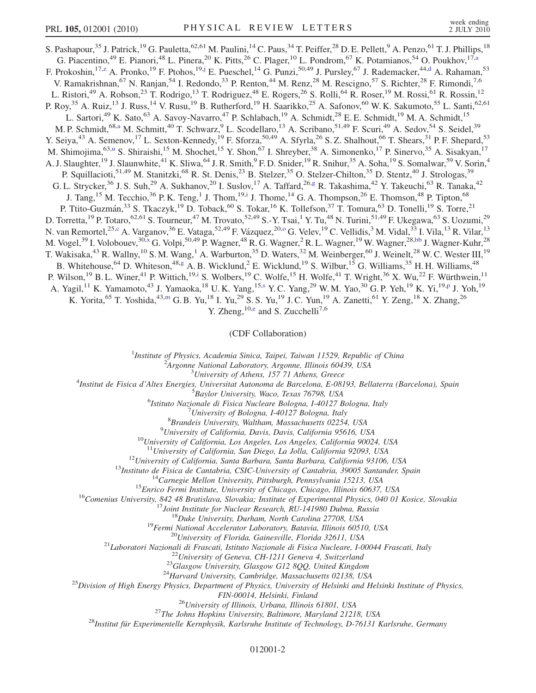<span id="page-4-6"></span><span id="page-4-4"></span><span id="page-4-0"></span>S. Pashapour,<sup>35</sup> J. Patrick,<sup>19</sup> G. Pauletta,<sup>62,61</sup> M. Paulini,<sup>14</sup> C. Paus,<sup>34</sup> T. Peiffer,<sup>28</sup> D. E. Pellett,<sup>9</sup> A. Penzo,<sup>61</sup> T. J. Phillips,<sup>18</sup> G. Piacentino,<sup>49</sup> E. Pianori,<sup>48</sup> L. Pinera,<sup>20</sup> K. Pitts,<sup>26</sup> C. Plager,<sup>10</sup> L. Pondrom,<sup>67</sup> K. Potamianos,<sup>54</sup> O. Poukhov,<sup>17[,a](#page-9-20)</sup> F. Prokoshin, <sup>17[,z](#page-9-21)</sup> A. Pronko, <sup>19</sup> F. Ptohos, <sup>19,[j](#page-9-22)</sup> E. Pueschel, <sup>14</sup> G. Punzi, <sup>50,49</sup> J. Pursley, <sup>67</sup> J. Rademacker, <sup>44[,d](#page-9-10)</sup> A. Rahaman, <sup>53</sup> V. Ramakrishnan,<sup>67</sup> N. Ranjan,<sup>54</sup> I. Redondo,<sup>33</sup> P. Renton,<sup>44</sup> M. Renz,<sup>28</sup> M. Rescigno,<sup>57</sup> S. Richter,<sup>28</sup> F. Rimondi,<sup>7,6</sup> L. Ristori,<sup>49</sup> A. Robson,<sup>23</sup> T. Rodrigo,<sup>13</sup> T. Rodriguez,<sup>48</sup> E. Rogers,<sup>26</sup> S. Rolli,<sup>64</sup> R. Roser,<sup>19</sup> M. Rossi,<sup>61</sup> R. Rossin,<sup>12</sup> P. Roy,<sup>35</sup> A. Ruiz,<sup>13</sup> J. Russ,<sup>14</sup> V. Rusu,<sup>19</sup> B. Rutherford,<sup>19</sup> H. Saarikko,<sup>25</sup> A. Safonov,<sup>60</sup> W. K. Sakumoto,<sup>55</sup> L. Santi,<sup>62,61</sup> L. Sartori,<sup>49</sup> K. Sato,<sup>63</sup> A. Savoy-Navarro,<sup>47</sup> P. Schlabach,<sup>19</sup> A. Schmidt,<sup>28</sup> E. E. Schmidt,<sup>19</sup> M. A. Schmidt,<sup>15</sup> M. P. Schmidt,<sup>68[,a](#page-9-20)</sup> M. Schmitt,<sup>40</sup> T. Schwarz,<sup>9</sup> L. Scodellaro,<sup>13</sup> A. Scribano,<sup>51,49</sup> F. Scuri,<sup>49</sup> A. Sedov,<sup>54</sup> S. Seidel,<sup>39</sup> Y. Seiya,<sup>43</sup> A. Semenov,<sup>17</sup> L. Sexton-Kennedy,<sup>19</sup> F. Sforza,<sup>50,49</sup> A. Sfyrla,<sup>26</sup> S. Z. Shalhout,<sup>66</sup> T. Shears,<sup>31</sup> P. F. Shepard,<sup>53</sup> M. Shimojima,<s[u](#page-9-23)p>63,u</sup> S. Shiraishi,<sup>15</sup> M. Shochet,<sup>15</sup> Y. Shon,<sup>67</sup> I. Shreyber,<sup>38</sup> A. Simonenko,<sup>17</sup> P. Sinervo,<sup>35</sup> A. Sisakyan,<sup>17</sup> A. J. Slaughter,<sup>19</sup> J. Slaunwhite,<sup>41</sup> K. Sliwa,<sup>64</sup> J. R. Smith,<sup>9</sup> F. D. Snider,<sup>19</sup> R. Snihur,<sup>35</sup> A. Soha,<sup>19</sup> S. Somalwar,<sup>59</sup> V. Sorin,<sup>4</sup> P. Squillacioti,<sup>51,49</sup> M. Stanitzki,<sup>68</sup> R. St. Denis,<sup>23</sup> B. Stelzer,<sup>35</sup> O. Stelzer-Chilton,<sup>35</sup> D. Stentz,<sup>40</sup> J. Strologas,<sup>39</sup> G. L. Strycker,<sup>36</sup> J. S. Suh,<sup>29</sup> A. Sukhanov,<sup>20</sup> I. Suslov,<sup>17</sup> A. Taffard,<sup>26[,g](#page-9-7)</sup> R. Takashima,<sup>42</sup> Y. Takeuchi,<sup>63</sup> R. Tanaka,<sup>42</sup> J. Tang,<sup>15</sup> M. Tecchio,<sup>36</sup> P. K. Teng,<sup>1</sup> J. Thom,<sup>19[,i](#page-9-24)</sup> J. Thome,<sup>14</sup> G. A. Thompson,<sup>26</sup> E. Thomson,<sup>48</sup> P. Tipton,<sup>68</sup> P. Ttito-Guzmán,<sup>33</sup> S. Tkaczyk,<sup>19</sup> D. Toback,<sup>60</sup> S. Tokar,<sup>16</sup> K. Tollefson,<sup>37</sup> T. Tomura,<sup>63</sup> D. Tonelli,<sup>19</sup> S. Torre,<sup>21</sup> D. Torretta, <sup>19</sup> P. Totaro, <sup>62,61</sup> S. Tourneur, <sup>47</sup> M. Trovato, <sup>52,49</sup> S.-Y. Tsai, <sup>1</sup> Y. Tu, <sup>48</sup> N. Turini, <sup>51,49</sup> F. Ukegawa, <sup>63</sup> S. Uozumi, <sup>29</sup> N. van Remortel,<sup>25,[c](#page-9-25)</sup> A. Vargan[o](#page-9-4)v,<sup>36</sup> E. Vataga,<sup>52,49</sup> F. Vázquez,<sup>20,o</sup> G. Velev,<sup>19</sup> C. Vellidis,<sup>3</sup> M. Vidal,<sup>33</sup> I. Vila,<sup>13</sup> R. Vilar,<sup>13</sup> M. Vogel,<sup>39</sup> I. Volobouev,<sup>30,[x](#page-9-14)</sup> G. Volpi,<sup>50,49</sup> P. Wagner,<sup>48</sup> R. G. Wagner,<sup>2</sup> R. L. Wagner,<sup>19</sup> W. Wagner,<sup>28[,bb](#page-9-26)</sup> J. Wagner-Kuhr,<sup>28</sup> T. Wakisaka,<sup>43</sup> R. Wallny,<sup>10</sup> S. M. Wang,<sup>1</sup> A. Warburton,<sup>35</sup> D. Waters,<sup>32</sup> M. Weinberger,<sup>60</sup> J. Weinelt,<sup>28</sup> W. C. Wester III,<sup>19</sup> B. Whitehouse, <sup>64</sup> D. Whiteson, <sup>48[,g](#page-9-7)</sup> A. B. Wicklund, <sup>2</sup> E. Wicklund, <sup>19</sup> S. Wilbur, <sup>15</sup> G. Williams, <sup>35</sup> H. H. Williams, <sup>48</sup> P. Wilson,<sup>19</sup> B. L. Winer,<sup>41</sup> P. Wittich,<sup>19[,i](#page-9-24)</sup> S. Wolbers,<sup>19</sup> C. Wolfe,<sup>15</sup> H. Wolfe,<sup>41</sup> T. Wright,<sup>36</sup> X. Wu,<sup>22</sup> F. Würthwein,<sup>11</sup> A. Yagil,<sup>11</sup> K. Yamamoto,<sup>43</sup> J. Yamaoka,<sup>18</sup> U.K. Yang,<sup>15[,s](#page-9-27)</sup> Y.C. Yang,<sup>29</sup> W.M. Yao,<sup>30</sup> G.P. Yeh,<sup>19</sup> K. Yi,<sup>19[,p](#page-9-6)</sup> J. Yoh,<sup>19</sup> K. Yorita,<sup>65</sup> T. Yoshida,<sup>43,[m](#page-9-28)</sup> G. B. Yu,<sup>18</sup> I. Yu,<sup>29</sup> S. S. Yu,<sup>19</sup> J. C. Yun,<sup>19</sup> A. Zanetti,<sup>61</sup> Y. Zeng,<sup>18</sup> X. Zhang,<sup>26</sup> Y. Zh[e](#page-9-29)ng,  $^{10,e}$  and S. Zucchelli<sup>7,6</sup>

(CDF Collaboration)

<sup>1</sup>Institute of Physics, Academia Sinica, Taipei, Taiwan 11529, Republic of China<br><sup>2</sup>Arganna National Laboratory, Arganna Illinois 60430, USA

 $^2$ Argonne National Laboratory, Argonne, Illinois 60439, USA<br> $^3$ University of Athens, 157 71 Athens, Greece

<span id="page-4-7"></span><span id="page-4-5"></span><span id="page-4-3"></span><span id="page-4-2"></span><span id="page-4-1"></span><sup>3</sup>University of Athens, 157 71 Athens, Greece<sup>3</sup> Theories *Lyniversity* of Athens, 157 71 Athens, Greece<sup>4</sup>

Institut de Fisica d'Altes Energies, Universitat Autonoma de Barcelona, E-08193, Bellaterra (Barcelona), Spain <sup>5</sup>

<sup>5</sup>Baylor University, Waco, Texas 76798, USA

<sup>6</sup>Istituto Nazionale di Fisica Nucleare Bologna, I-40127 Bologna, Italy

 $17$ University of Bologna, I-40127 Bologna, Italy

 ${}^{8}$ Brandeis University, Waltham, Massachusetts 02254, USA  ${}^{9}$ University of California, Davis, Davis, California 95616, USA

 $10$ University of California, Los Angeles, Los Angeles, California 90024, USA

<sup>11</sup>University of California, San Diego, La Jolla, California 92093, USA<br><sup>12</sup>University of California, Santa Barbara, Santa Barbara, California 93106, USA<br><sup>13</sup>Institute de Fisica de Cantabria, CSIC-University of Catiforni

FIN-00014, Helsinki, Finland<br><sup>26</sup>University of Illinois, Urbana, Illinois 61801, USA<br><sup>28</sup>Institut für Experimentelle Kernphysik, Karlsruhe Institute of Technology, D-76131 Karlsruhe, Germany<sup>28</sup>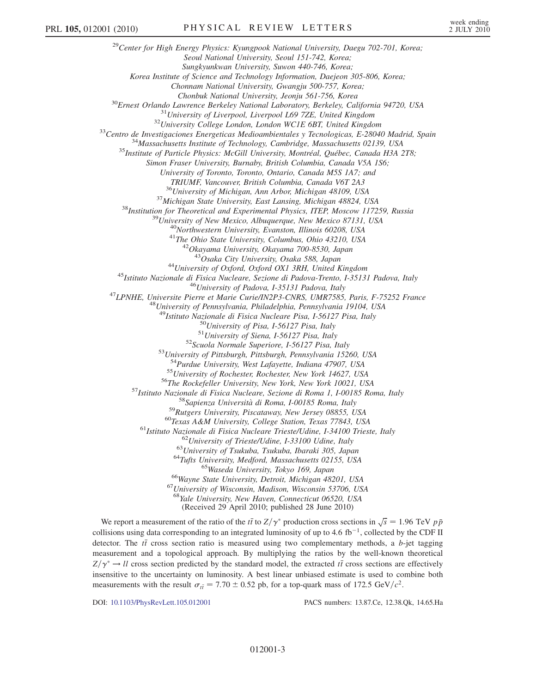<sup>29</sup>Center for High Energy Physics: Kyungpook National University, Daegu 702-701, Korea; Seoul National University, Seoul 151-742, Korea; Sungkyunkwan University, Suwon 440-746, Korea; Korea Institute of Science and Technology Information, Daejeon 305-806, Korea; Chonnam National University, Gwangju 500-757, Korea; <sup>30</sup>Ernest Orlando Lawrence Berkeley National Laboratory, Berkeley, California 94720, USA<br><sup>31</sup>University of Liverpool, Liverpool L69 7ZE, United Kingdom<br><sup>32</sup>University College London, London WCIE 6BT, United Kingdom<br><sup>32</sup>C Simon Fraser University, Burnaby, British Columbia, Canada V5A 1S6; University of Toronto, Toronto, Ontario, Canada M5S 1A7; and TRIUMF, Vancouver, British Columbia, Canada V6T 2A3<br><sup>36</sup>University of Michigan, Ann Arbor, Michigan 48109, USA <sup>37</sup> Michigan State University, East Lansing, Michigan 48824, USA<br><sup>38</sup> Institution for Theoretical and Experimental Physics, ITEP, Moscow 117259, Russia<br><sup>39</sup> University of New Mexico, Albuquerque, New Mexico 87131, USA<br><sup>4</sup> <sup>44</sup>University of Oxford, Oxford OX1 3RH, United Kingdom<br><sup>45</sup>Istituto Nazionale di Fisica Nucleare, Sezione di Padova-Trento, I-35131 Padova, Italy<br><sup>46</sup>University of Padova, I-35131 Padova, Italy<br><sup>47</sup>LPNHE, Universite Pie <sup>49</sup>Istituto Nazionale di Fisica Nucleare Pisa, I-56127 Pisa, Italy<br><sup>50</sup>University of Pisa, I-56127 Pisa, Italy<br><sup>51</sup>University of Siena, I-56127 Pisa, Italy<br><sup>52</sup>Scuola Normale Superiore, I-56127 Pisa, Italy<br><sup>52</sup>Scuola Nor <sup>54</sup>Purdue University, West Lafayette, Indiana 47907, USA<br>
<sup>55</sup>University of Rochester, Rochester, New York 14627, USA<br>
<sup>55</sup>University of Rochester, Rochester, New York 10021, USA<br>
<sup>57</sup>Istituto Nazionale di Fisica Nuclear <sup>68</sup>Yale University, New Haven, Connecticut 06520, USA (Received 29 April 2010; published 28 June 2010)

We report a measurement of the ratio of the the to  $Z/\gamma^*$  production cross sections in  $\sqrt{s} = 1.96$  TeV  $p\bar{p}$ <br>Ultimate using data corresponding to an integrated luminosity of up to 4.6 fb<sup>-1</sup>, collected by the CDE II collisions using data corresponding to an integrated luminosity of up to 4.6 fb<sup>-1</sup>, collected by the CDF II detector. The *H* cross section ratio is measured using two complementary methods a *h* jet tagging detector. The  $t\bar{t}$  cross section ratio is measured using two complementary methods, a b-jet tagging<br>measurement and a tanalaxisal annual By multiplying the ratios by the well known theoretical measurement and a topological approach. By multiplying the ratios by the well-known theoretical  $Z/\gamma^* \to ll$  cross section predicted by the standard model, the extracted the cross sections are effectively insensitive to the uncertainty on luminosity. A best linear unbiased estimate is used to combine both measurements with the result  $\sigma_{t\bar{t}} = 7.70 \pm 0.52$  pb, for a top-quark mass of 172.5 GeV/ $c^2$ .

DOI: [10.1103/PhysRevLett.105.012001](http://dx.doi.org/10.1103/PhysRevLett.105.012001) PACS numbers: 13.87.Ce, 12.38.Qk, 14.65.Ha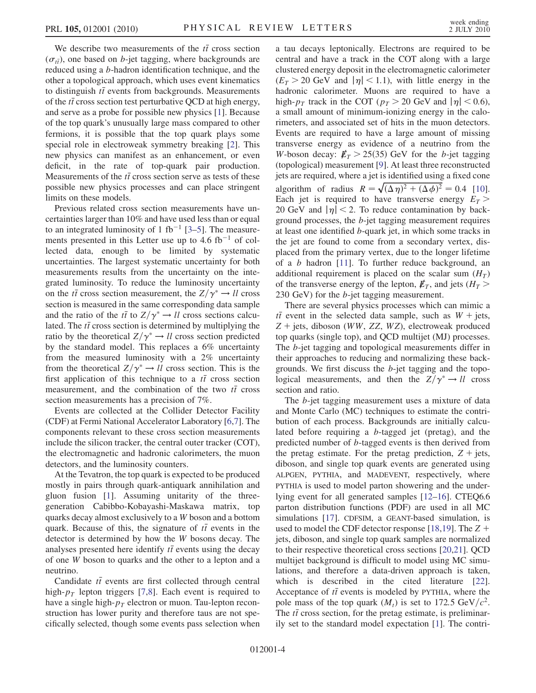We describe two measurements of the  $t\bar{t}$  cross section<br> $\epsilon$ ) one hased on h jet tagging, where hackgrounds are  $(\sigma_{t\bar{t}})$ , one based on *b*-jet tagging, where backgrounds are<br>reduced using a *h* hadron identification technique, and the reduced using a b-hadron identification technique, and the other a topological approach, which uses event kinematics to distinguish  $t\bar{t}$  events from backgrounds. Measurements<br>of the  $t\bar{t}$  cross section test perturbative OCD at high energy. of the  $t\bar{t}$  cross section test perturbative QCD at high energy, and serve as a probe for possible new physics  $[11]$ . Because and serve as a probe for possible new physics [\[1](#page-9-30)]. Because of the top quark's unusually large mass compared to other fermions, it is possible that the top quark plays some special role in electroweak symmetry breaking [[2](#page-9-31)]. This new physics can manifest as an enhancement, or even deficit, in the rate of top-quark pair production. Measurements of the  $t\bar{t}$  cross section serve as tests of these possible new physics processes and can place stripgent possible new physics processes and can place stringent limits on these models.

Previous related cross section measurements have uncertainties larger than 10% and have used less than or equal to an integrated luminosity of 1 fb<sup>-1</sup> [3-[5](#page-9-33)]. The measure-<br>ments presented in this I etter use up to 4.6 fb<sup>-1</sup> of colments presented in this Letter use up to  $4.6 \text{ fb}^{-1}$  of col-<br>lected data enough to be limited by systematic lected data, enough to be limited by systematic uncertainties. The largest systematic uncertainty for both measurements results from the uncertainty on the integrated luminosity. To reduce the luminosity uncertainty on the  $t\bar{t}$  cross section measurement, the  $Z/\gamma^* \rightarrow ll$  cross<br>section is measured in the same corresponding data sample section is measured in the same corresponding data sample and the ratio of the  $t\bar{t}$  to  $Z/\gamma^* \rightarrow ll$  cross sections calcu-<br>lated. The  $t\bar{t}$  cross section is determined by multiplying the lated. The *tt* cross section is determined by multiplying the ratio by the theoretical  $Z/\alpha^* \rightarrow U$  cross section predicted ratio by the theoretical  $Z/\gamma^* \rightarrow ll$  cross section predicted by the standard model. This replaces a 6% uncertainty from the measured luminosity with a 2% uncertainty from the theoretical  $Z/\gamma^* \rightarrow ll$  cross section. This is the first application of this technique to a  $t\bar{t}$  cross section<br>measurement, and the combination of the two  $t\bar{t}$  cross measurement, and the combination of the two  $t\bar{t}$  cross<br>section measurements has a precision of  $7\%$ section measurements has a precision of 7%.

Events are collected at the Collider Detector Facility (CDF) at Fermi National Accelerator Laboratory [\[6](#page-9-34)[,7\]](#page-9-35). The components relevant to these cross section measurements include the silicon tracker, the central outer tracker (COT), the electromagnetic and hadronic calorimeters, the muon detectors, and the luminosity counters.

At the Tevatron, the top quark is expected to be produced mostly in pairs through quark-antiquark annihilation and gluon fusion [\[1\]](#page-9-30). Assuming unitarity of the threegeneration Cabibbo-Kobayashi-Maskawa matrix, top quarks decay almost exclusively to a W boson and a bottom quark. Because of this, the signature of  $t\bar{t}$  events in the detector is determined by how the W because deepy. The detector is determined by how the W bosons decay. The analyses presented here identify  $t\bar{t}$  events using the decay of one W boson to quarks and the other to a lepton and a neutrino.

Candidate  $t\bar{t}$  events are first collected through central<br>than lapton triggers [7,8]. Each event is required to high- $p_T$  lepton triggers [\[7,](#page-9-35)[8](#page-9-36)]. Each event is required to have a single high- $p_T$  electron or muon. Tau-lepton reconstruction has lower purity and therefore taus are not specifically selected, though some events pass selection when a tau decays leptonically. Electrons are required to be central and have a track in the COT along with a large clustered energy deposit in the electromagnetic calorimeter  $(E_T > 20 \text{ GeV}$  and  $|\eta| < 1.1$ ), with little energy in the hadronic calorimeter. Muons are required to have a high- $p_T$  track in the COT ( $p_T > 20$  GeV and  $|\eta| < 0.6$ ), a small amount of minimum-ionizing energy in the calorimeters, and associated set of hits in the muon detectors. Events are required to have a large amount of missing transverse energy as evidence of a neutrino from the W-boson decay:  $E_T > 25(35)$  GeV for the b-jet tagging (topological) measurement [[9](#page-9-37)]. At least three reconstructed jets are required, where a jet is identified using a fixed cone algorithm of radius  $R = \sqrt{(\Delta \eta)^2 + (\Delta \phi)^2} = 0.4$  [[10\]](#page-9-38).<br>Fach jet is required to have transverse energy  $F_{\pi} >$ algorithm of radius  $K = \sqrt{(\Delta \eta)^2 + (\Delta \phi)^2} = 0.4$  [10].<br>Each jet is required to have transverse energy  $E_T >$ 20 GeV and  $|\eta|$  < 2. To reduce contamination by background processes, the b-jet tagging measurement requires at least one identified b-quark jet, in which some tracks in the jet are found to come from a secondary vertex, displaced from the primary vertex, due to the longer lifetime of a b hadron [[11](#page-9-39)]. To further reduce background, an additional requirement is placed on the scalar sum  $(H_T)$ of the transverse energy of the lepton,  $E_T$ , and jets ( $H_T$  > 230 GeV) for the  $b$ -jet tagging measurement.

There are several physics processes which can mimic a  $t\bar{t}$  event in the selected data sample, such as  $W + \text{jets}$ ,<br>  $Z + \text{jets}$  disconsequently  $ZZ - WZ$  algorithmical produced  $Z$  + jets, diboson (WW, ZZ, WZ), electroweak produced top quarks (single top), and QCD multijet (MJ) processes. The b-jet tagging and topological measurements differ in their approaches to reducing and normalizing these backgrounds. We first discuss the b-jet tagging and the topological measurements, and then the  $Z/\gamma^* \rightarrow ll$  cross section and ratio.

The b-jet tagging measurement uses a mixture of data and Monte Carlo (MC) techniques to estimate the contribution of each process. Backgrounds are initially calculated before requiring a b-tagged jet (pretag), and the predicted number of b-tagged events is then derived from the pretag estimate. For the pretag prediction,  $Z + \text{jets}$ , diboson, and single top quark events are generated using ALPGEN, PYTHIA, and MADEVENT, respectively, where PYTHIA is used to model parton showering and the underlying event for all generated samples [[12](#page-9-40)–[16](#page-9-41)]. CTEQ6.6 parton distribution functions (PDF) are used in all MC simulations [[17](#page-9-42)]. CDFSIM, a GEANT-based simulation, is used to model the CDF detector response [[18](#page-9-43),[19](#page-9-44)]. The  $Z +$ jets, diboson, and single top quark samples are normalized to their respective theoretical cross sections [\[20,](#page-9-45)[21](#page-9-46)]. QCD multijet background is difficult to model using MC simulations, and therefore a data-driven approach is taken, which is described in the cited literature [[22\]](#page-9-47). Acceptance of  $t\bar{t}$  events is modeled by PYTHIA, where the node mass of the top quark  $(M)$  is set to 172.5 GeV/ $c^2$ pole mass of the top quark  $(M_t)$  is set to 172.5 GeV/ $c^2$ . The  $t\bar{t}$  cross section, for the pretag estimate, is preliminar-<br>ily set to the standard model expectation [1]. The contriily set to the standard model expectation [\[1](#page-9-30)]. The contri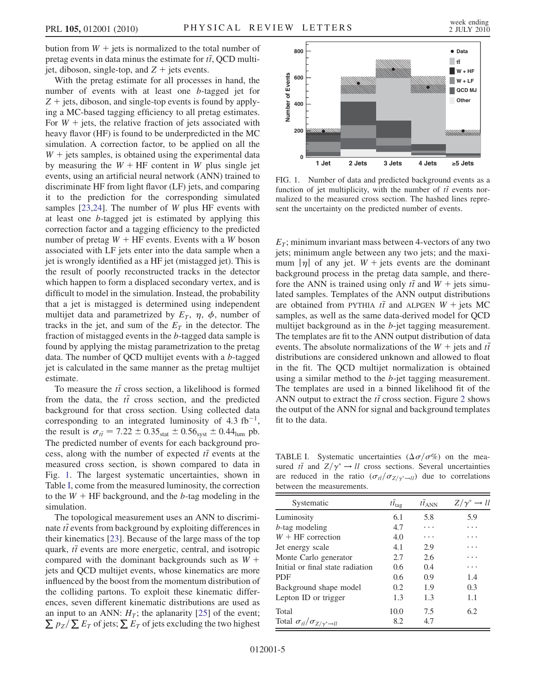bution from  $W$  + jets is normalized to the total number of pretag events in data minus the estimate for  $t\bar{t}$ , QCD multi-<br>ist, dibegan, single top, and  $Z + \text{i}$  ats events jet, diboson, single-top, and  $Z +$  jets events.

With the pretag estimate for all processes in hand, the number of events with at least one b-tagged jet for  $Z +$  jets, diboson, and single-top events is found by applying a MC-based tagging efficiency to all pretag estimates. For  $W$  + jets, the relative fraction of jets associated with heavy flavor (HF) is found to be underpredicted in the MC simulation. A correction factor, to be applied on all the  $W +$  jets samples, is obtained using the experimental data by measuring the  $W + HF$  content in W plus single jet events, using an artificial neural network (ANN) trained to discriminate HF from light flavor (LF) jets, and comparing it to the prediction for the corresponding simulated samples  $[23,24]$  $[23,24]$ . The number of W plus HF events with at least one b-tagged jet is estimated by applying this correction factor and a tagging efficiency to the predicted number of pretag  $W + HF$  events. Events with a W boson associated with LF jets enter into the data sample when a jet is wrongly identified as a HF jet (mistagged jet). This is the result of poorly reconstructed tracks in the detector which happen to form a displaced secondary vertex, and is difficult to model in the simulation. Instead, the probability that a jet is mistagged is determined using independent multijet data and parametrized by  $E_T$ ,  $\eta$ ,  $\phi$ , number of tracks in the jet, and sum of the  $E_T$  in the detector. The fraction of mistagged events in the b-tagged data sample is found by applying the mistag parametrization to the pretag data. The number of QCD multijet events with a b-tagged jet is calculated in the same manner as the pretag multijet estimate.

To measure the  $t\bar{t}$  cross section, a likelihood is formed<br>on the data, the  $t\bar{t}$  cross section, and the producted from the data, the  $t\bar{t}$  cross section, and the predicted<br>hackground for that cross section. Using collected data background for that cross section. Using collected data corresponding to an integrated luminosity of 4.3 fb<sup>-1</sup>,<br>the result is  $\sigma_z = 7.22 + 0.35... + 0.56... + 0.44$ . the result is  $\sigma_{t\bar{t}} = 7.22 \pm 0.35_{stat} \pm 0.56_{syst} \pm 0.44_{lum}$  pb.<br>The predicted number of events for each beckground pro-The predicted number of events for each background process, along with the number of expected  $t\bar{t}$  events at the measured cross section is shown compared to data in measured cross section, is shown compared to data in Fig. [1.](#page-7-0) The largest systematic uncertainties, shown in Table [I,](#page-7-1) come from the measured luminosity, the correction to the  $W + HF$  background, and the b-tag modeling in the simulation.

The topological measurement uses an ANN to discriminate  $t\bar{t}$  events from background by exploiting differences in<br>their kinematics [23]. Because of the large mass of the top their kinematics [[23](#page-9-48)]. Because of the large mass of the top quark,  $t\bar{t}$  events are more energetic, central, and isotropic<br>compared with the dominant backgrounds such as  $W +$ compared with the dominant backgrounds such as  $W +$ jets and QCD multijet events, whose kinematics are more influenced by the boost from the momentum distribution of the colliding partons. To exploit these kinematic differences, seven different kinematic distributions are used as an input to an ANN:  $H_T$ ; the aplanarity [[25](#page-9-50)] of the event;  $\sum p_Z/\sum E_T$  of jets;  $\sum E_T$  of jets excluding the two highest

<span id="page-7-0"></span>

FIG. 1. Number of data and predicted background events as a function of jet multiplicity, with the number of  $t\bar{t}$  events nor-<br>multiged to the measured cross section. The hashed lines repremalized to the measured cross section. The hashed lines represent the uncertainty on the predicted number of events.

 $E_T$ ; minimum invariant mass between 4-vectors of any two jets; minimum angle between any two jets; and the maximum  $|\eta|$  of any jet.  $W$  + jets events are the dominant background process in the pretag data sample, and therefore the ANN is trained using only  $t\bar{t}$  and  $W + \text{jets}$  simulated samples. Termulates of the ANN output distributions lated samples. Templates of the ANN output distributions are obtained from PYTHIA  $t\bar{t}$  and ALPGEN  $W + \text{jets MC}$ samples, as well as the same data-derived model for QCD multijet background as in the b-jet tagging measurement. The templates are fit to the ANN output distribution of data events. The absolute normalizations of the  $W +$  jets and  $t\bar{t}$ distributions are considered unknown and allowed to float in the fit. The QCD multijet normalization is obtained using a similar method to the b-jet tagging measurement. The templates are used in a binned likelihood fit of the ANN output to extract the  $t\bar{t}$  cross section. Figure [2](#page-8-0) shows<br>the output of the ANN for signal and background templates the output of the ANN for signal and background templates fit to the data.

<span id="page-7-1"></span>TABLE I. Systematic uncertainties  $(\Delta \sigma / \sigma \%)$  on the mea-<br>sured  $t\bar{t}$  and  $Z/\gamma^* \rightarrow U$  cross sections. Several uncertainties sured  $t\bar{t}$  and  $Z/\gamma^* \to ll$  cross sections. Several uncertainties are reduced in the ratio  $(\sigma_{t\bar{t}}/\sigma_{Z/\gamma^*\to l\bar{l}})$  due to correlations between the measurements.

| Systematic                                          | $t\bar{t}_{\text{tag}}$ | $t\bar{t}_{ANN}$ | $Z/\gamma^* \rightarrow ll$ |
|-----------------------------------------------------|-------------------------|------------------|-----------------------------|
| Luminosity                                          | 6.1                     | 5.8              | 5.9                         |
| <i>b</i> -tag modeling                              | 4.7                     | .                | .                           |
| $W + HF$ correction                                 | 4.0                     | .                | .                           |
| Jet energy scale                                    | 4.1                     | 2.9              | .                           |
| Monte Carlo generator                               | 2.7                     | 2.6              | .                           |
| Initial or final state radiation                    | $0.6^{\circ}$           | 0.4              | .                           |
| PDF                                                 | 0.6                     | 0.9              | 1.4                         |
| Background shape model                              | 0.2                     | 1.9              | 0.3                         |
| Lepton ID or trigger                                | 1.3                     | 1.3              | 1.1                         |
| Total                                               | 10.0                    | 7.5              | 6.2                         |
| Total $\sigma_{t\bar{t}}/\sigma_{Z/\gamma^*\to ll}$ | 8.2                     | 4.7              |                             |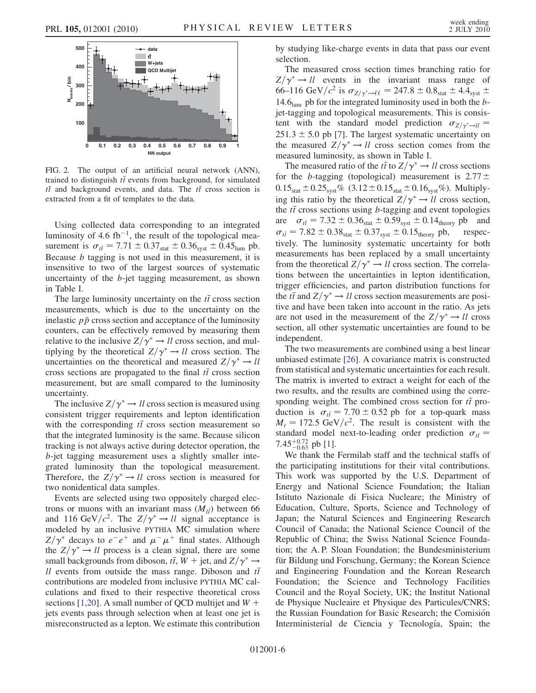<span id="page-8-0"></span>

FIG. 2. The output of an artificial neural network (ANN), trained to distinguish  $t\bar{t}$  events from background, for simulated  $t\bar{t}$  and background events and data. The  $t\bar{t}$  cross section is  $t\bar{t}$  and background events, and data. The  $t\bar{t}$  cross section is<br>extracted from a fit of templates to the data extracted from a fit of templates to the data.

Using collected data corresponding to an integrated luminosity of 4.6 fb<sup>-1</sup>, the result of the topological mea-<br>surement is  $\sigma_z = 7.71 + 0.37... + 0.36... + 0.45...$  pb surement is  $\sigma_{t\bar{t}} = 7.71 \pm 0.37_{stat} \pm 0.36_{syst} \pm 0.45_{lum}$  pb.<br>Because h tagging is not used in this measurement, it is Because  $b$  tagging is not used in this measurement, it is insensitive to two of the largest sources of systematic uncertainty of the b-jet tagging measurement, as shown in Table [I.](#page-7-1)

The large luminosity uncertainty on the  $t\bar{t}$  cross section<br>passurements, which is due to the uncertainty on the measurements, which is due to the uncertainty on the inelastic  $p\bar{p}$  cross section and acceptance of the luminosity counters, can be effectively removed by measuring them relative to the inclusive  $Z/\gamma^* \rightarrow ll$  cross section, and multiplying by the theoretical  $Z/\gamma^* \rightarrow ll$  cross section. The uncertainties on the theoretical and measured  $Z/\gamma^* \rightarrow ll$ cross sections are propagated to the final  $t\bar{t}$  cross section<br>measurement, but are small compared to the luminosity measurement, but are small compared to the luminosity uncertainty.

The inclusive  $Z/\gamma^* \rightarrow ll$  cross section is measured using consistent trigger requirements and lepton identification with the corresponding  $t\bar{t}$  cross section measurement so that the integrated luminosity is the same. Because silicon that the integrated luminosity is the same. Because silicon tracking is not always active during detector operation, the b-jet tagging measurement uses a slightly smaller integrated luminosity than the topological measurement. Therefore, the  $Z/\gamma^* \rightarrow ll$  cross section is measured for two nonidentical data samples.

Events are selected using two oppositely charged electrons or muons with an invariant mass  $(M_{I\bar{I}})$  between 66 and 116 GeV/ $c^2$ . The  $Z/\gamma^* \rightarrow ll$  signal acceptance is modeled by an inclusive PYTHIA MC simulation where  $Z/\gamma^*$  decays to  $e^-e^+$  and  $\mu^-\mu^+$  final states. Although the  $Z/\gamma^* \rightarrow ll$  process is a clean signal, there are some small backgrounds from diboson,  $t\bar{t}$ ,  $W + \text{jet}$ , and  $Z/\gamma^* \rightarrow$ <br>*U* gyents from outside the mass range. Diboson and  $t\bar{t}$ ll events from outside the mass range. Diboson and  $t\bar{t}$  contributions are modeled from inclusive PYTHIA MC calculations and fixed to their respective theoretical cross sections [[1](#page-9-30)[,20\]](#page-9-45). A small number of QCD multijet and  $W +$ jets events pass through selection when at least one jet is misreconstructed as a lepton. We estimate this contribution by studying like-charge events in data that pass our event selection.

The measured cross section times branching ratio for  $Z/\gamma^* \rightarrow ll$  events in the invariant mass range of 66–116 GeV/ $c^2$  is  $\sigma_{Z/\gamma^* \to \ell \ell} = 247.8 \pm 0.8_{stat} \pm 4.4_{syst} \pm 14.6$  s nb for the integrated luminosity used in both the h-14.6 $_{\text{lum}}$  pb for the integrated luminosity used in both the bjet-tagging and topological measurements. This is consistent with the standard model prediction  $\sigma_{Z/\gamma^* \to ll} =$  $251.3 \pm 5.0$  pb [[7\]](#page-9-35). The largest systematic uncertainty on the measured  $Z/\gamma^* \rightarrow ll$  cross section comes from the measured luminosity, as shown in Table [I.](#page-7-1)

The measured ratio of the  $t\bar{t}$  to  $Z/\gamma^* \rightarrow ll$  cross sections<br>the h togging (topological) measurement is 2.77 + for the *b*-tagging (topological) measurement is  $2.77 \pm$  $0.15_{stat} \pm 0.25_{syst}\%$   $(3.12 \pm 0.15_{stat} \pm 0.16_{syst}\%)$ . Multiplying this ratio by the theoretical  $Z/\gamma^* \rightarrow ll$  cross section, the  $t\bar{t}$  cross sections using b-tagging and event topologies<br>  $25\bar{t} = 7.32 + 0.36 + 0.50 + 0.14$  in and are  $\sigma_{t\bar{t}} = 7.32 \pm 0.36_{stat} \pm 0.59_{syst} \pm 0.14_{theory}$  pb and<br>  $\sigma_{t} = 7.82 \pm 0.38 \pm 0.37 \pm 0.15$  she respected  $\sigma_{t\bar{t}} = 7.82 \pm 0.38_{\text{stat}} \pm 0.37_{\text{syst}} \pm 0.15_{\text{theory}}$  pb, respectively. The luminosity systematic uncertainty for both tively. The luminosity systematic uncertainty for both measurements has been replaced by a small uncertainty from the theoretical  $Z/\gamma^* \rightarrow ll$  cross section. The correlations between the uncertainties in lepton identification, trigger efficiencies, and parton distribution functions for the  $t\bar{t}$  and  $Z/\gamma^* \rightarrow ll$  cross section measurements are positive and have been taken into account in the ratio. As jets tive and have been taken into account in the ratio. As jets are not used in the measurement of the  $Z/\gamma^* \rightarrow ll$  cross section, all other systematic uncertainties are found to be independent.

The two measurements are combined using a best linear unbiased estimate [[26](#page-9-51)]. A covariance matrix is constructed from statistical and systematic uncertainties for each result. The matrix is inverted to extract a weight for each of the two results, and the results are combined using the corresponding weight. The combined cross section for  $t\bar{t}$  pro-<br>duction is  $\sigma_2 = 7.70 \pm 0.52$  pb for a top quark mass duction is  $\sigma_{t\bar{t}} = 7.70 \pm 0.52$  pb for a top-quark mass  $M = 172.5$  GeV/ $c^2$ . The result is consistent with the  $M_t = 172.5 \text{ GeV}/c^2$ . The result is consistent with the standard model next-to-leading order prediction  $\sigma_{t\bar{t}} =$ <br> $7.45 \pm 0.72$  pb [1] 7.45 $^{+0.72}_{-0.63}$  pb [\[1](#page-9-30)].<br>We thank the

We thank the Fermilab staff and the technical staffs of the participating institutions for their vital contributions. This work was supported by the U.S. Department of Energy and National Science Foundation; the Italian Istituto Nazionale di Fisica Nucleare; the Ministry of Education, Culture, Sports, Science and Technology of Japan; the Natural Sciences and Engineering Research Council of Canada; the National Science Council of the Republic of China; the Swiss National Science Foundation; the A. P. Sloan Foundation; the Bundesministerium für Bildung und Forschung, Germany; the Korean Science and Engineering Foundation and the Korean Research Foundation; the Science and Technology Facilities Council and the Royal Society, UK; the Institut National de Physique Nucleaire et Physique des Particules/CNRS; the Russian Foundation for Basic Research; the Comisión Interministerial de Ciencia y Tecnología, Spain; the